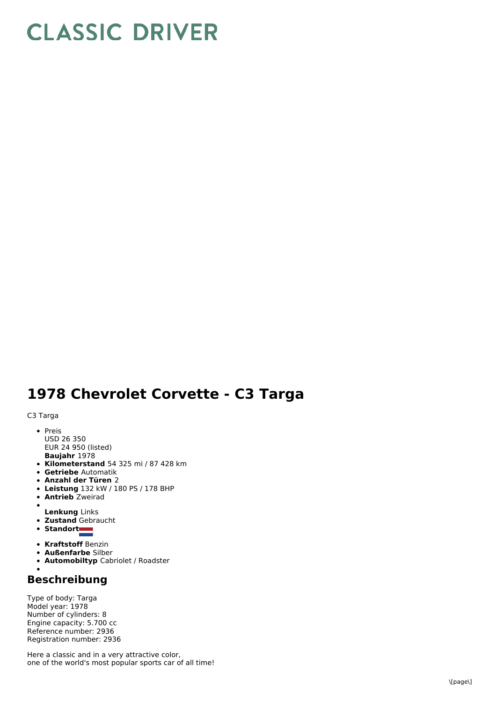## **CLASSIC DRIVER**

## 1978 Chevrolet Corvette - C3 Targa

C3 Targa

- P r eis U S D 2 6 3 5 0
- **B a u ja h r** 1 9 7 8 EUR 24 950 (listed)
- **Kilometerstand** 54 325 mi / 87 428 km
- **Getriebe** Automatik
- **A n z a hl d e r T ü r e n** 2
- **Leistung** 132 kW / 180 PS / 178 BHP
- **Antrieb** Zweirad
- $\bullet$
- **Lenkung** Links **Zustand** Gebraucht
- **S t a n d o r t**
- 
- **Kraftstoff** Benzin
- **Außenfarbe** Silber
- **Automobiltyp** Cabriolet / Roadster

## **B e s c h r eib u n g**

Type of body: Targa M o d el y e a r: 1 9 7 8 N u m b e r o fc ylin d e r s: 8 Engine capacity: 5.700 cc Reference number: 2936 Registration number: 2936

Here a classic and in a very attractive color, one of the world's most popular sports car of all time!